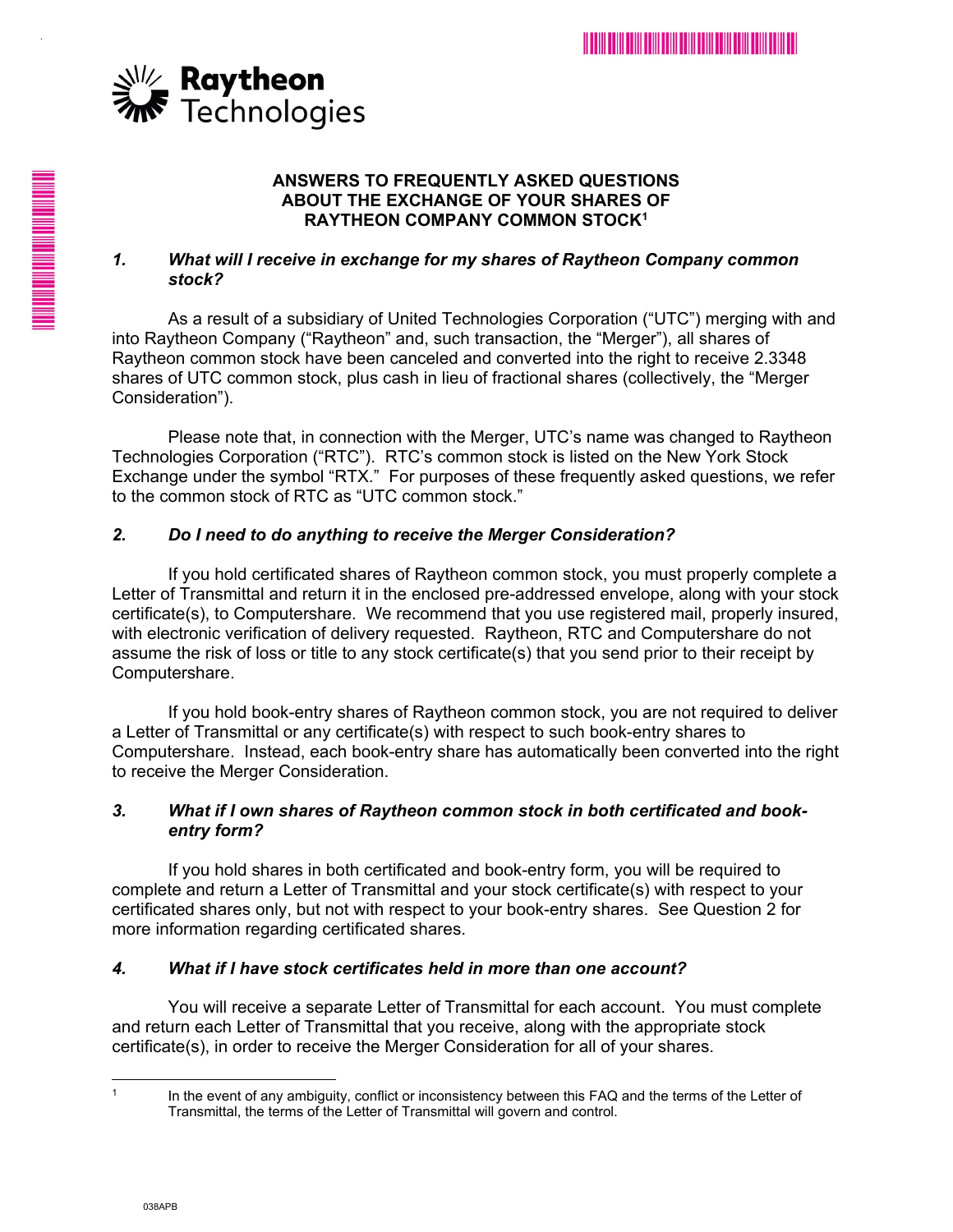

.

**HILL AND AN ARTICLES AND ARTICLES** 

### **ANSWERS TO FREQUENTLY ASKED QUESTIONS ABOUT THE EXCHANGE OF YOUR SHARES OF RAYTHEON COMPANY COMMON STOCK1**

## *1. What will I receive in exchange for my shares of Raytheon Company common stock?*

As a result of a subsidiary of United Technologies Corporation ("UTC") merging with and into Raytheon Company ("Raytheon" and, such transaction, the "Merger"), all shares of Raytheon common stock have been canceled and converted into the right to receive 2.3348 shares of UTC common stock, plus cash in lieu of fractional shares (collectively, the "Merger Consideration").

Please note that, in connection with the Merger, UTC's name was changed to Raytheon Technologies Corporation ("RTC"). RTC's common stock is listed on the New York Stock Exchange under the symbol "RTX." For purposes of these frequently asked questions, we refer to the common stock of RTC as "UTC common stock."

# *2. Do I need to do anything to receive the Merger Consideration?*

If you hold certificated shares of Raytheon common stock, you must properly complete a Letter of Transmittal and return it in the enclosed pre-addressed envelope, along with your stock certificate(s), to Computershare. We recommend that you use registered mail, properly insured, with electronic verification of delivery requested. Raytheon, RTC and Computershare do not assume the risk of loss or title to any stock certificate(s) that you send prior to their receipt by Computershare.

If you hold book-entry shares of Raytheon common stock, you are not required to deliver a Letter of Transmittal or any certificate(s) with respect to such book-entry shares to Computershare. Instead, each book-entry share has automatically been converted into the right to receive the Merger Consideration.

## *3. What if I own shares of Raytheon common stock in both certificated and bookentry form?*

If you hold shares in both certificated and book-entry form, you will be required to complete and return a Letter of Transmittal and your stock certificate(s) with respect to your certificated shares only, but not with respect to your book-entry shares. See Question 2 for more information regarding certificated shares.

## *4. What if I have stock certificates held in more than one account?*

You will receive a separate Letter of Transmittal for each account. You must complete and return each Letter of Transmittal that you receive, along with the appropriate stock certificate(s), in order to receive the Merger Consideration for all of your shares.

 $\mathbf{1}$ 

In the event of any ambiguity, conflict or inconsistency between this FAQ and the terms of the Letter of Transmittal, the terms of the Letter of Transmittal will govern and control.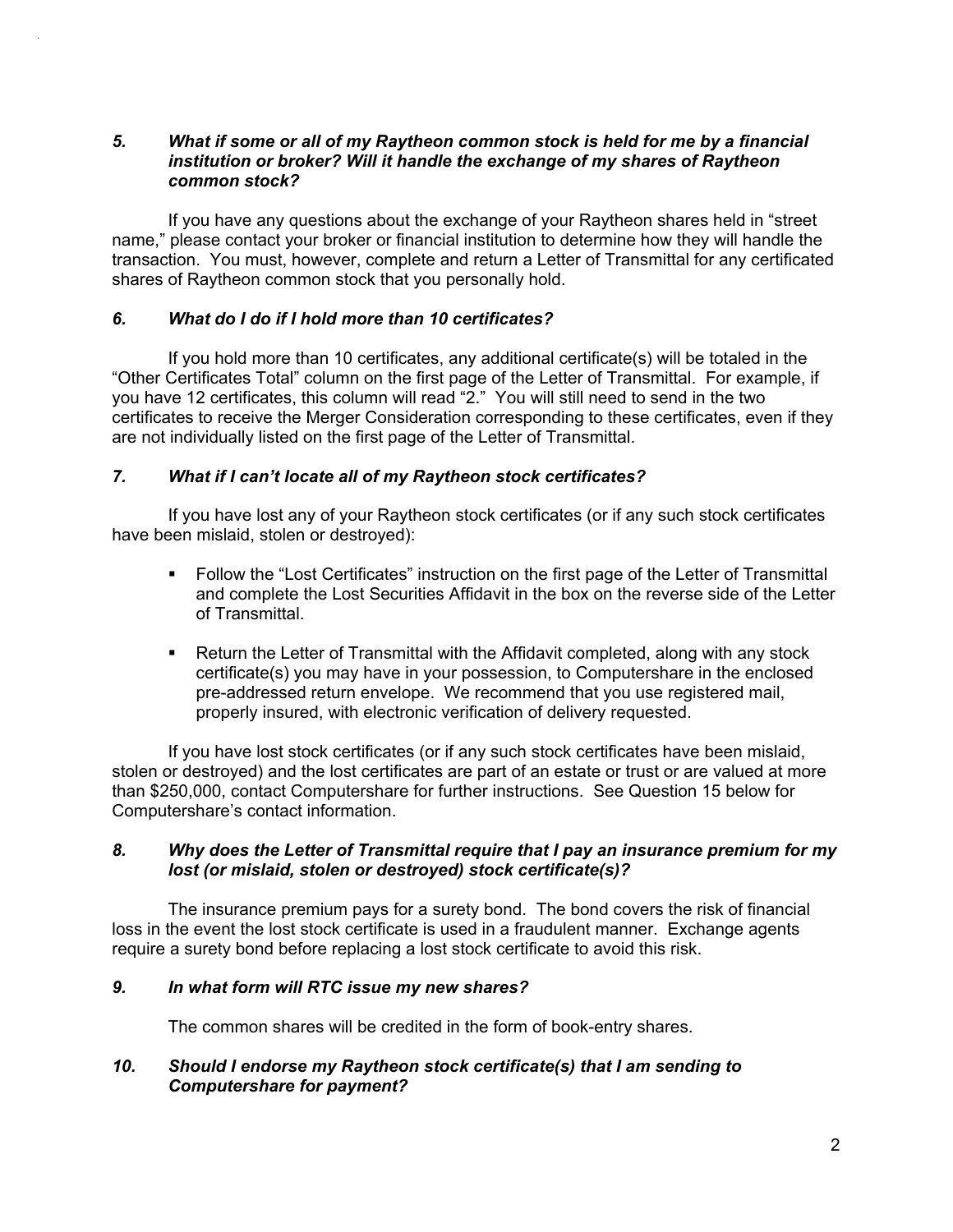### *5. What if some or all of my Raytheon common stock is held for me by a financial institution or broker? Will it handle the exchange of my shares of Raytheon common stock?*

If you have any questions about the exchange of your Raytheon shares held in "street name," please contact your broker or financial institution to determine how they will handle the transaction. You must, however, complete and return a Letter of Transmittal for any certificated shares of Raytheon common stock that you personally hold.

### *6. What do I do if I hold more than 10 certificates?*

.

If you hold more than 10 certificates, any additional certificate(s) will be totaled in the "Other Certificates Total" column on the first page of the Letter of Transmittal. For example, if you have 12 certificates, this column will read "2." You will still need to send in the two certificates to receive the Merger Consideration corresponding to these certificates, even if they are not individually listed on the first page of the Letter of Transmittal.

### *7. What if I can't locate all of my Raytheon stock certificates?*

If you have lost any of your Raytheon stock certificates (or if any such stock certificates have been mislaid, stolen or destroyed):

- Follow the "Lost Certificates" instruction on the first page of the Letter of Transmittal and complete the Lost Securities Affidavit in the box on the reverse side of the Letter of Transmittal.
- Return the Letter of Transmittal with the Affidavit completed, along with any stock certificate(s) you may have in your possession, to Computershare in the enclosed pre-addressed return envelope. We recommend that you use registered mail, properly insured, with electronic verification of delivery requested.

If you have lost stock certificates (or if any such stock certificates have been mislaid, stolen or destroyed) and the lost certificates are part of an estate or trust or are valued at more than \$250,000, contact Computershare for further instructions. See Question 15 below for Computershare's contact information.

### *8. Why does the Letter of Transmittal require that I pay an insurance premium for my lost (or mislaid, stolen or destroyed) stock certificate(s)?*

The insurance premium pays for a surety bond. The bond covers the risk of financial loss in the event the lost stock certificate is used in a fraudulent manner. Exchange agents require a surety bond before replacing a lost stock certificate to avoid this risk.

#### *9. In what form will RTC issue my new shares?*

The common shares will be credited in the form of book-entry shares.

### *10. Should I endorse my Raytheon stock certificate(s) that I am sending to Computershare for payment?*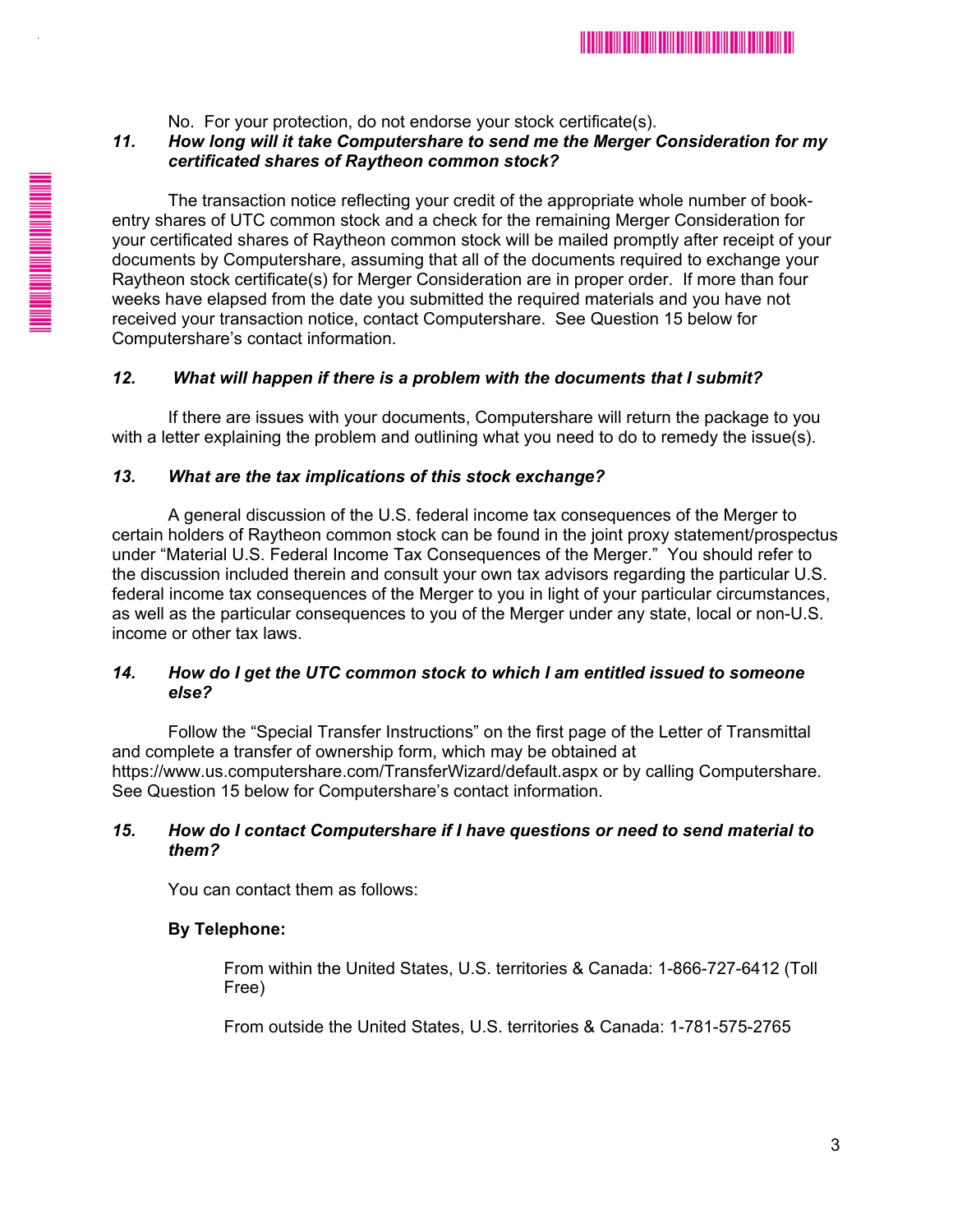

No. For your protection, do not endorse your stock certificate(s).

## *11. How long will it take Computershare to send me the Merger Consideration for my certificated shares of Raytheon common stock?*

The transaction notice reflecting your credit of the appropriate whole number of bookentry shares of UTC common stock and a check for the remaining Merger Consideration for your certificated shares of Raytheon common stock will be mailed promptly after receipt of your documents by Computershare, assuming that all of the documents required to exchange your Raytheon stock certificate(s) for Merger Consideration are in proper order. If more than four weeks have elapsed from the date you submitted the required materials and you have not received your transaction notice, contact Computershare. See Question 15 below for Computershare's contact information.

## *12. What will happen if there is a problem with the documents that I submit?*

If there are issues with your documents, Computershare will return the package to you with a letter explaining the problem and outlining what you need to do to remedy the issue(s).

## *13. What are the tax implications of this stock exchange?*

A general discussion of the U.S. federal income tax consequences of the Merger to certain holders of Raytheon common stock can be found in the joint proxy statement/prospectus under "Material U.S. Federal Income Tax Consequences of the Merger." You should refer to the discussion included therein and consult your own tax advisors regarding the particular U.S. federal income tax consequences of the Merger to you in light of your particular circumstances, as well as the particular consequences to you of the Merger under any state, local or non-U.S. income or other tax laws.

## *14. How do I get the UTC common stock to which I am entitled issued to someone else?*

Follow the "Special Transfer Instructions" on the first page of the Letter of Transmittal and complete a transfer of ownership form, which may be obtained at https://www.us.computershare.com/TransferWizard/default.aspx or by calling Computershare. See Question 15 below for Computershare's contact information.

## *15. How do I contact Computershare if I have questions or need to send material to them?*

You can contact them as follows:

## **By Telephone:**

.

From within the United States, U.S. territories & Canada: 1-866-727-6412 (Toll Free)

From outside the United States, U.S. territories & Canada: 1-781-575-2765